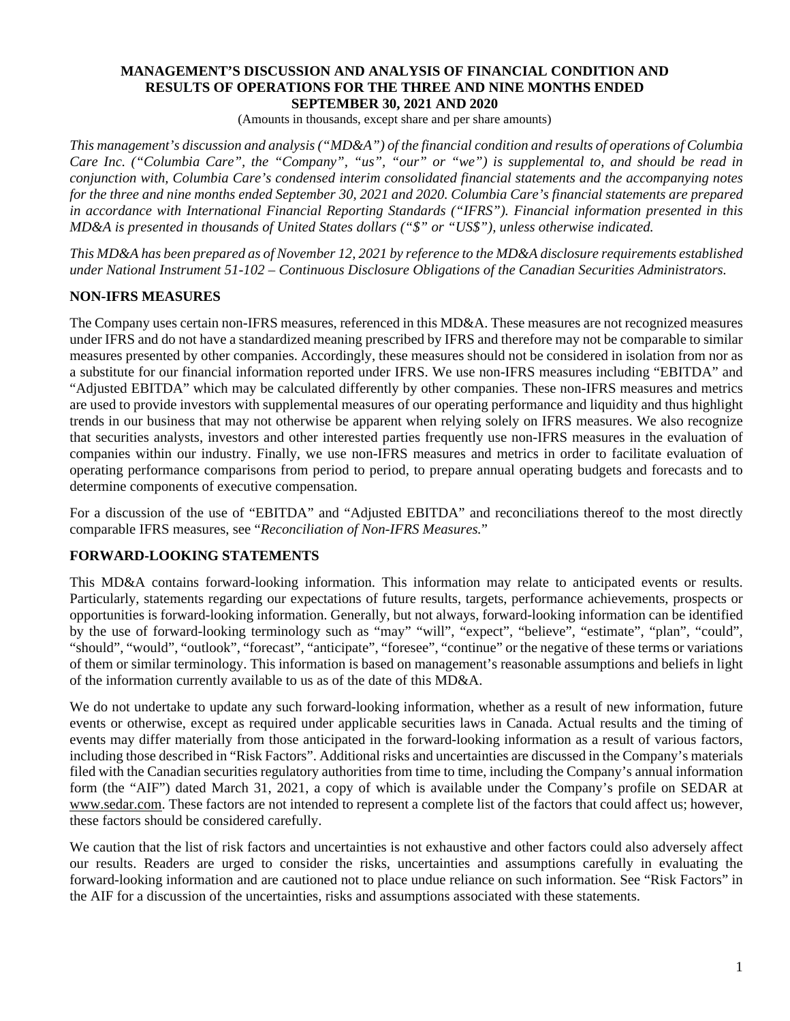#### **MANAGEMENT'S DISCUSSION AND ANALYSIS OF FINANCIAL CONDITION AND RESULTS OF OPERATIONS FOR THE THREE AND NINE MONTHS ENDED SEPTEMBER 30, 2021 AND 2020**

(Amounts in thousands, except share and per share amounts)

*This management's discussion and analysis ("MD&A") of the financial condition and results of operations of Columbia Care Inc. ("Columbia Care", the "Company", "us", "our" or "we") is supplemental to, and should be read in conjunction with, Columbia Care's condensed interim consolidated financial statements and the accompanying notes for the three and nine months ended September 30, 2021 and 2020. Columbia Care's financial statements are prepared in accordance with International Financial Reporting Standards ("IFRS"). Financial information presented in this MD&A is presented in thousands of United States dollars ("\$" or "US\$"), unless otherwise indicated.*

*This MD&A has been prepared as of November 12, 2021 by reference to the MD&A disclosure requirements established under National Instrument 51-102 – Continuous Disclosure Obligations of the Canadian Securities Administrators.*

## **NON-IFRS MEASURES**

The Company uses certain non-IFRS measures, referenced in this MD&A. These measures are not recognized measures under IFRS and do not have a standardized meaning prescribed by IFRS and therefore may not be comparable to similar measures presented by other companies. Accordingly, these measures should not be considered in isolation from nor as a substitute for our financial information reported under IFRS. We use non-IFRS measures including "EBITDA" and "Adjusted EBITDA" which may be calculated differently by other companies. These non-IFRS measures and metrics are used to provide investors with supplemental measures of our operating performance and liquidity and thus highlight trends in our business that may not otherwise be apparent when relying solely on IFRS measures. We also recognize that securities analysts, investors and other interested parties frequently use non-IFRS measures in the evaluation of companies within our industry. Finally, we use non-IFRS measures and metrics in order to facilitate evaluation of operating performance comparisons from period to period, to prepare annual operating budgets and forecasts and to determine components of executive compensation.

For a discussion of the use of "EBITDA" and "Adjusted EBITDA" and reconciliations thereof to the most directly comparable IFRS measures, see "*Reconciliation of Non-IFRS Measures.*"

# **FORWARD-LOOKING STATEMENTS**

This MD&A contains forward-looking information. This information may relate to anticipated events or results. Particularly, statements regarding our expectations of future results, targets, performance achievements, prospects or opportunities is forward-looking information. Generally, but not always, forward-looking information can be identified by the use of forward-looking terminology such as "may" "will", "expect", "believe", "estimate", "plan", "could", "should", "would", "outlook", "forecast", "anticipate", "foresee", "continue" or the negative of these terms or variations of them or similar terminology. This information is based on management's reasonable assumptions and beliefs in light of the information currently available to us as of the date of this MD&A.

We do not undertake to update any such forward-looking information, whether as a result of new information, future events or otherwise, except as required under applicable securities laws in Canada. Actual results and the timing of events may differ materially from those anticipated in the forward-looking information as a result of various factors, including those described in "Risk Factors". Additional risks and uncertainties are discussed in the Company's materials filed with the Canadian securities regulatory authorities from time to time, including the Company's annual information form (the "AIF") dated March 31, 2021, a copy of which is available under the Company's profile on SEDAR at www.sedar.com. These factors are not intended to represent a complete list of the factors that could affect us; however, these factors should be considered carefully.

We caution that the list of risk factors and uncertainties is not exhaustive and other factors could also adversely affect our results. Readers are urged to consider the risks, uncertainties and assumptions carefully in evaluating the forward-looking information and are cautioned not to place undue reliance on such information. See "Risk Factors" in the AIF for a discussion of the uncertainties, risks and assumptions associated with these statements.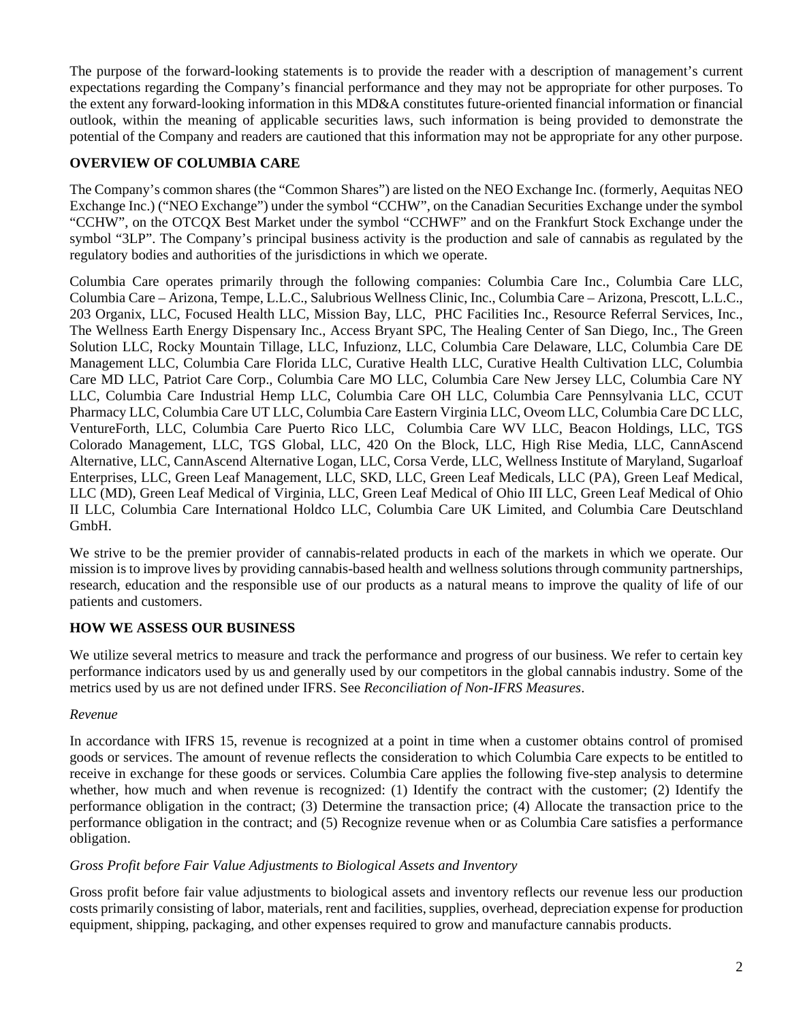The purpose of the forward-looking statements is to provide the reader with a description of management's current expectations regarding the Company's financial performance and they may not be appropriate for other purposes. To the extent any forward-looking information in this MD&A constitutes future-oriented financial information or financial outlook, within the meaning of applicable securities laws, such information is being provided to demonstrate the potential of the Company and readers are cautioned that this information may not be appropriate for any other purpose.

# **OVERVIEW OF COLUMBIA CARE**

The Company's common shares (the "Common Shares") are listed on the NEO Exchange Inc. (formerly, Aequitas NEO Exchange Inc.) ("NEO Exchange") under the symbol "CCHW", on the Canadian Securities Exchange under the symbol "CCHW", on the OTCQX Best Market under the symbol "CCHWF" and on the Frankfurt Stock Exchange under the symbol "3LP". The Company's principal business activity is the production and sale of cannabis as regulated by the regulatory bodies and authorities of the jurisdictions in which we operate.

Columbia Care operates primarily through the following companies: Columbia Care Inc., Columbia Care LLC, Columbia Care – Arizona, Tempe, L.L.C., Salubrious Wellness Clinic, Inc., Columbia Care – Arizona, Prescott, L.L.C., 203 Organix, LLC, Focused Health LLC, Mission Bay, LLC, PHC Facilities Inc., Resource Referral Services, Inc., The Wellness Earth Energy Dispensary Inc., Access Bryant SPC, The Healing Center of San Diego, Inc., The Green Solution LLC, Rocky Mountain Tillage, LLC, Infuzionz, LLC, Columbia Care Delaware, LLC, Columbia Care DE Management LLC, Columbia Care Florida LLC, Curative Health LLC, Curative Health Cultivation LLC, Columbia Care MD LLC, Patriot Care Corp., Columbia Care MO LLC, Columbia Care New Jersey LLC, Columbia Care NY LLC, Columbia Care Industrial Hemp LLC, Columbia Care OH LLC, Columbia Care Pennsylvania LLC, CCUT Pharmacy LLC, Columbia Care UT LLC, Columbia Care Eastern Virginia LLC, Oveom LLC, Columbia Care DC LLC, VentureForth, LLC, Columbia Care Puerto Rico LLC, Columbia Care WV LLC, Beacon Holdings, LLC, TGS Colorado Management, LLC, TGS Global, LLC, 420 On the Block, LLC, High Rise Media, LLC, CannAscend Alternative, LLC, CannAscend Alternative Logan, LLC, Corsa Verde, LLC, Wellness Institute of Maryland, Sugarloaf Enterprises, LLC, Green Leaf Management, LLC, SKD, LLC, Green Leaf Medicals, LLC (PA), Green Leaf Medical, LLC (MD), Green Leaf Medical of Virginia, LLC, Green Leaf Medical of Ohio III LLC, Green Leaf Medical of Ohio II LLC, Columbia Care International Holdco LLC, Columbia Care UK Limited, and Columbia Care Deutschland GmbH.

We strive to be the premier provider of cannabis-related products in each of the markets in which we operate. Our mission is to improve lives by providing cannabis-based health and wellness solutions through community partnerships, research, education and the responsible use of our products as a natural means to improve the quality of life of our patients and customers.

# **HOW WE ASSESS OUR BUSINESS**

We utilize several metrics to measure and track the performance and progress of our business. We refer to certain key performance indicators used by us and generally used by our competitors in the global cannabis industry. Some of the metrics used by us are not defined under IFRS. See *Reconciliation of Non-IFRS Measures*.

### *Revenue*

In accordance with IFRS 15, revenue is recognized at a point in time when a customer obtains control of promised goods or services. The amount of revenue reflects the consideration to which Columbia Care expects to be entitled to receive in exchange for these goods or services. Columbia Care applies the following five-step analysis to determine whether, how much and when revenue is recognized: (1) Identify the contract with the customer; (2) Identify the performance obligation in the contract; (3) Determine the transaction price; (4) Allocate the transaction price to the performance obligation in the contract; and (5) Recognize revenue when or as Columbia Care satisfies a performance obligation.

### *Gross Profit before Fair Value Adjustments to Biological Assets and Inventory*

Gross profit before fair value adjustments to biological assets and inventory reflects our revenue less our production costs primarily consisting of labor, materials, rent and facilities, supplies, overhead, depreciation expense for production equipment, shipping, packaging, and other expenses required to grow and manufacture cannabis products.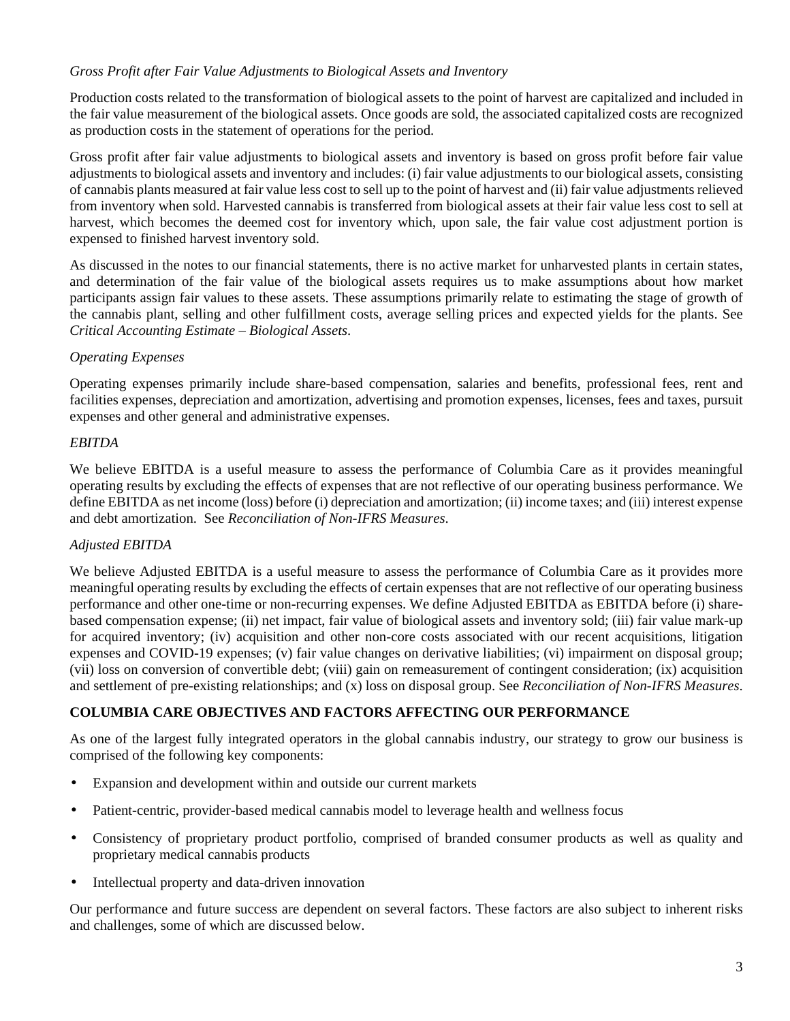# *Gross Profit after Fair Value Adjustments to Biological Assets and Inventory*

Production costs related to the transformation of biological assets to the point of harvest are capitalized and included in the fair value measurement of the biological assets. Once goods are sold, the associated capitalized costs are recognized as production costs in the statement of operations for the period.

Gross profit after fair value adjustments to biological assets and inventory is based on gross profit before fair value adjustments to biological assets and inventory and includes: (i) fair value adjustments to our biological assets, consisting of cannabis plants measured at fair value less cost to sell up to the point of harvest and (ii) fair value adjustments relieved from inventory when sold. Harvested cannabis is transferred from biological assets at their fair value less cost to sell at harvest, which becomes the deemed cost for inventory which, upon sale, the fair value cost adjustment portion is expensed to finished harvest inventory sold.

As discussed in the notes to our financial statements, there is no active market for unharvested plants in certain states, and determination of the fair value of the biological assets requires us to make assumptions about how market participants assign fair values to these assets. These assumptions primarily relate to estimating the stage of growth of the cannabis plant, selling and other fulfillment costs, average selling prices and expected yields for the plants. See *Critical Accounting Estimate – Biological Assets*.

## *Operating Expenses*

Operating expenses primarily include share-based compensation, salaries and benefits, professional fees, rent and facilities expenses, depreciation and amortization, advertising and promotion expenses, licenses, fees and taxes, pursuit expenses and other general and administrative expenses.

## *EBITDA*

We believe EBITDA is a useful measure to assess the performance of Columbia Care as it provides meaningful operating results by excluding the effects of expenses that are not reflective of our operating business performance. We define EBITDA as net income (loss) before (i) depreciation and amortization; (ii) income taxes; and (iii) interest expense and debt amortization. See *Reconciliation of Non-IFRS Measures*.

# *Adjusted EBITDA*

We believe Adjusted EBITDA is a useful measure to assess the performance of Columbia Care as it provides more meaningful operating results by excluding the effects of certain expenses that are not reflective of our operating business performance and other one-time or non-recurring expenses. We define Adjusted EBITDA as EBITDA before (i) sharebased compensation expense; (ii) net impact, fair value of biological assets and inventory sold; (iii) fair value mark-up for acquired inventory; (iv) acquisition and other non-core costs associated with our recent acquisitions, litigation expenses and COVID-19 expenses; (v) fair value changes on derivative liabilities; (vi) impairment on disposal group; (vii) loss on conversion of convertible debt; (viii) gain on remeasurement of contingent consideration; (ix) acquisition and settlement of pre-existing relationships; and (x) loss on disposal group. See *Reconciliation of Non-IFRS Measures*.

# **COLUMBIA CARE OBJECTIVES AND FACTORS AFFECTING OUR PERFORMANCE**

As one of the largest fully integrated operators in the global cannabis industry, our strategy to grow our business is comprised of the following key components:

- Expansion and development within and outside our current markets
- Patient-centric, provider-based medical cannabis model to leverage health and wellness focus
- Consistency of proprietary product portfolio, comprised of branded consumer products as well as quality and proprietary medical cannabis products
- Intellectual property and data-driven innovation

Our performance and future success are dependent on several factors. These factors are also subject to inherent risks and challenges, some of which are discussed below.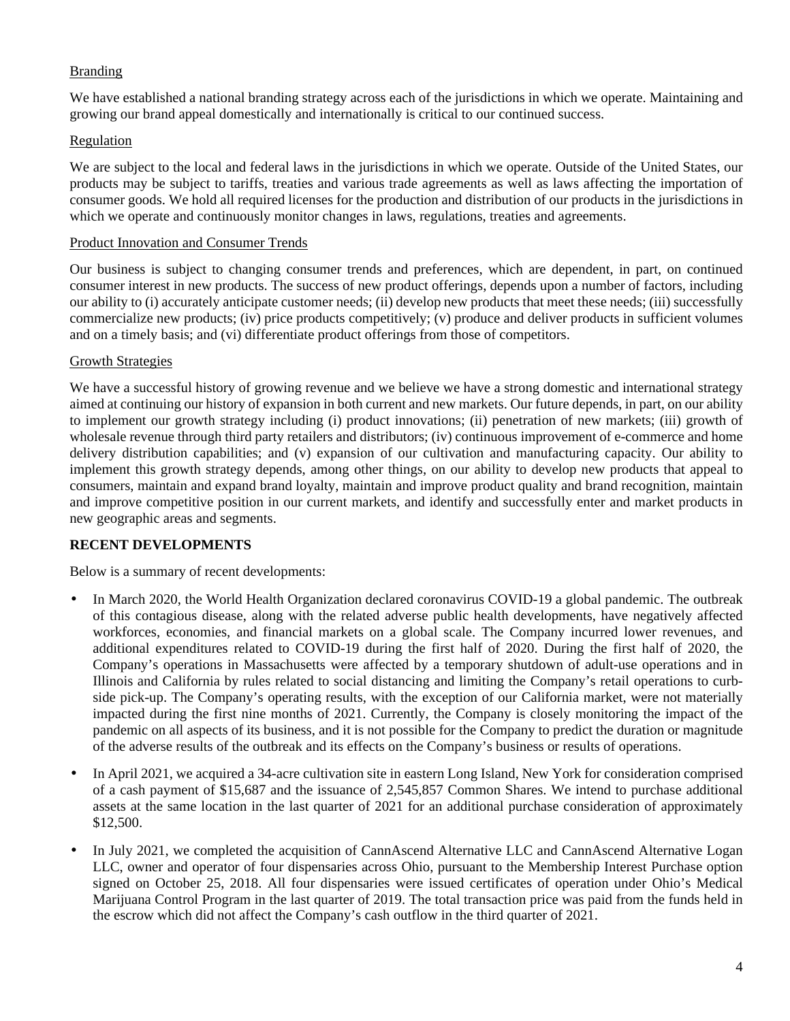# Branding

We have established a national branding strategy across each of the jurisdictions in which we operate. Maintaining and growing our brand appeal domestically and internationally is critical to our continued success.

# Regulation

We are subject to the local and federal laws in the jurisdictions in which we operate. Outside of the United States, our products may be subject to tariffs, treaties and various trade agreements as well as laws affecting the importation of consumer goods. We hold all required licenses for the production and distribution of our products in the jurisdictions in which we operate and continuously monitor changes in laws, regulations, treaties and agreements.

### Product Innovation and Consumer Trends

Our business is subject to changing consumer trends and preferences, which are dependent, in part, on continued consumer interest in new products. The success of new product offerings, depends upon a number of factors, including our ability to (i) accurately anticipate customer needs; (ii) develop new products that meet these needs; (iii) successfully commercialize new products; (iv) price products competitively; (v) produce and deliver products in sufficient volumes and on a timely basis; and (vi) differentiate product offerings from those of competitors.

### Growth Strategies

We have a successful history of growing revenue and we believe we have a strong domestic and international strategy aimed at continuing our history of expansion in both current and new markets. Our future depends, in part, on our ability to implement our growth strategy including (i) product innovations; (ii) penetration of new markets; (iii) growth of wholesale revenue through third party retailers and distributors; (iv) continuous improvement of e-commerce and home delivery distribution capabilities; and (v) expansion of our cultivation and manufacturing capacity. Our ability to implement this growth strategy depends, among other things, on our ability to develop new products that appeal to consumers, maintain and expand brand loyalty, maintain and improve product quality and brand recognition, maintain and improve competitive position in our current markets, and identify and successfully enter and market products in new geographic areas and segments.

# **RECENT DEVELOPMENTS**

Below is a summary of recent developments:

- In March 2020, the World Health Organization declared coronavirus COVID-19 a global pandemic. The outbreak of this contagious disease, along with the related adverse public health developments, have negatively affected workforces, economies, and financial markets on a global scale. The Company incurred lower revenues, and additional expenditures related to COVID-19 during the first half of 2020. During the first half of 2020, the Company's operations in Massachusetts were affected by a temporary shutdown of adult-use operations and in Illinois and California by rules related to social distancing and limiting the Company's retail operations to curbside pick-up. The Company's operating results, with the exception of our California market, were not materially impacted during the first nine months of 2021. Currently, the Company is closely monitoring the impact of the pandemic on all aspects of its business, and it is not possible for the Company to predict the duration or magnitude of the adverse results of the outbreak and its effects on the Company's business or results of operations.
- In April 2021, we acquired a 34-acre cultivation site in eastern Long Island, New York for consideration comprised of a cash payment of \$15,687 and the issuance of 2,545,857 Common Shares. We intend to purchase additional assets at the same location in the last quarter of 2021 for an additional purchase consideration of approximately \$12,500.
- In July 2021, we completed the acquisition of CannAscend Alternative LLC and CannAscend Alternative Logan LLC, owner and operator of four dispensaries across Ohio, pursuant to the Membership Interest Purchase option signed on October 25, 2018. All four dispensaries were issued certificates of operation under Ohio's Medical Marijuana Control Program in the last quarter of 2019. The total transaction price was paid from the funds held in the escrow which did not affect the Company's cash outflow in the third quarter of 2021.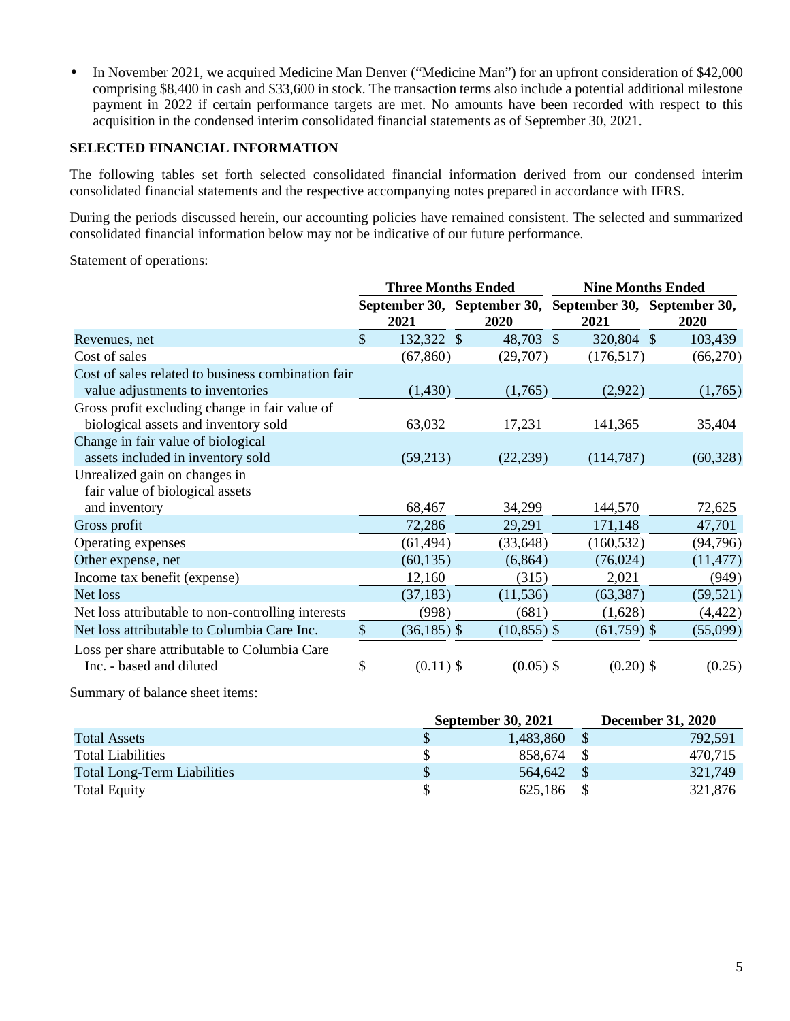• In November 2021, we acquired Medicine Man Denver ("Medicine Man") for an upfront consideration of \$42,000 comprising \$8,400 in cash and \$33,600 in stock. The transaction terms also include a potential additional milestone payment in 2022 if certain performance targets are met. No amounts have been recorded with respect to this acquisition in the condensed interim consolidated financial statements as of September 30, 2021.

# **SELECTED FINANCIAL INFORMATION**

The following tables set forth selected consolidated financial information derived from our condensed interim consolidated financial statements and the respective accompanying notes prepared in accordance with IFRS.

During the periods discussed herein, our accounting policies have remained consistent. The selected and summarized consolidated financial information below may not be indicative of our future performance.

Statement of operations:

|                                                    | <b>Three Months Ended</b> |                | <b>Nine Months Ended</b> |                                                                 |  |           |  |  |
|----------------------------------------------------|---------------------------|----------------|--------------------------|-----------------------------------------------------------------|--|-----------|--|--|
|                                                    | 2021                      | 2020           |                          | September 30, September 30, September 30, September 30,<br>2021 |  | 2020      |  |  |
| Revenues, net                                      | \$<br>132,322 \$          | 48,703 \$      |                          | 320,804 \$                                                      |  | 103,439   |  |  |
| Cost of sales                                      | (67, 860)                 | (29,707)       |                          | (176, 517)                                                      |  | (66,270)  |  |  |
| Cost of sales related to business combination fair |                           |                |                          |                                                                 |  |           |  |  |
| value adjustments to inventories                   | (1,430)                   | (1,765)        |                          | (2,922)                                                         |  | (1,765)   |  |  |
| Gross profit excluding change in fair value of     |                           |                |                          |                                                                 |  |           |  |  |
| biological assets and inventory sold               | 63,032                    | 17,231         |                          | 141,365                                                         |  | 35,404    |  |  |
| Change in fair value of biological                 |                           |                |                          |                                                                 |  |           |  |  |
| assets included in inventory sold                  | (59,213)                  | (22, 239)      |                          | (114, 787)                                                      |  | (60, 328) |  |  |
| Unrealized gain on changes in                      |                           |                |                          |                                                                 |  |           |  |  |
| fair value of biological assets                    |                           |                |                          |                                                                 |  |           |  |  |
| and inventory                                      | 68,467                    | 34,299         |                          | 144,570                                                         |  | 72,625    |  |  |
| Gross profit                                       | 72,286                    | 29,291         |                          | 171,148                                                         |  | 47,701    |  |  |
| Operating expenses                                 | (61, 494)                 | (33, 648)      |                          | (160, 532)                                                      |  | (94, 796) |  |  |
| Other expense, net                                 | (60, 135)                 | (6,864)        |                          | (76, 024)                                                       |  | (11, 477) |  |  |
| Income tax benefit (expense)                       | 12,160                    | (315)          |                          | 2,021                                                           |  | (949)     |  |  |
| Net loss                                           | (37, 183)                 | (11, 536)      |                          | (63, 387)                                                       |  | (59, 521) |  |  |
| Net loss attributable to non-controlling interests | (998)                     | (681)          |                          | (1,628)                                                         |  | (4, 422)  |  |  |
| Net loss attributable to Columbia Care Inc.        | \$<br>$(36,185)$ \$       | $(10, 855)$ \$ |                          | $(61,759)$ \$                                                   |  | (55,099)  |  |  |
| Loss per share attributable to Columbia Care       |                           |                |                          |                                                                 |  |           |  |  |
| Inc. - based and diluted                           | \$<br>$(0.11)$ \$         | $(0.05)$ \$    |                          | $(0.20)$ \$                                                     |  | (0.25)    |  |  |

Summary of balance sheet items:

|                                    | <b>September 30, 2021</b> | <b>December 31, 2020</b> |
|------------------------------------|---------------------------|--------------------------|
| <b>Total Assets</b>                | 1,483,860                 | 792.591                  |
| <b>Total Liabilities</b>           | 858.674                   | 470.715                  |
| <b>Total Long-Term Liabilities</b> | 564,642                   | 321,749                  |
| <b>Total Equity</b>                | 625,186                   | 321,876                  |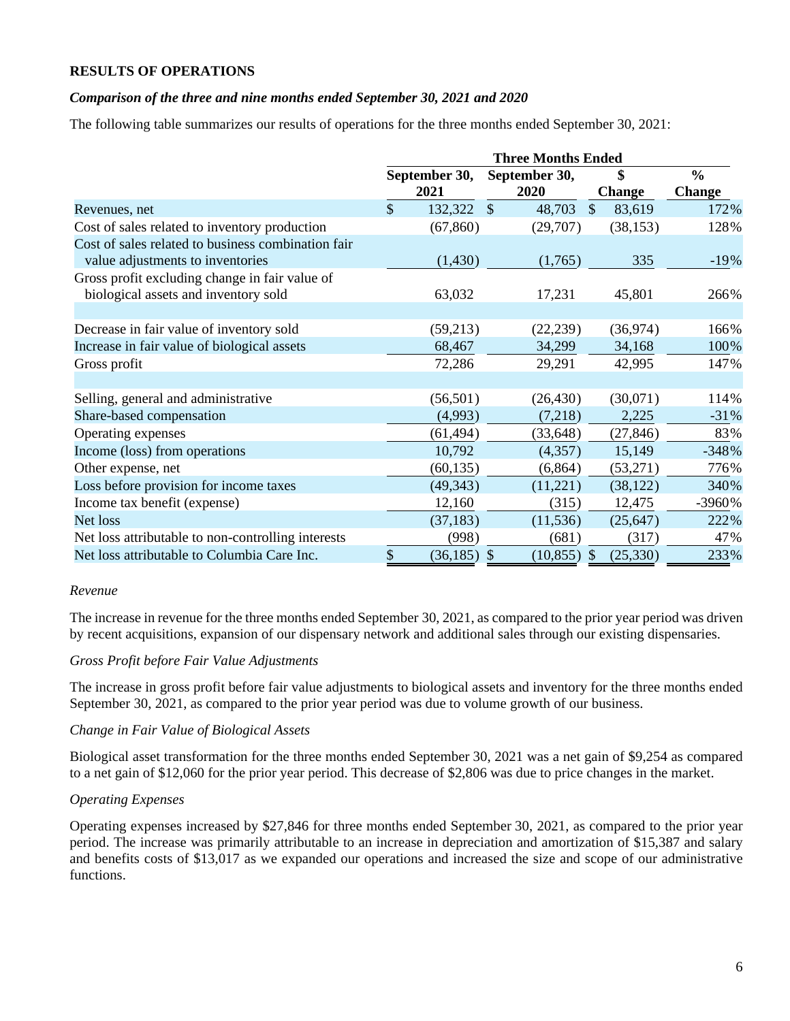# **RESULTS OF OPERATIONS**

### *Comparison of the three and nine months ended September 30, 2021 and 2020*

The following table summarizes our results of operations for the three months ended September 30, 2021:

|                                                    | <b>Three Months Ended</b> |               |               |                |                         |               |  |  |  |
|----------------------------------------------------|---------------------------|---------------|---------------|----------------|-------------------------|---------------|--|--|--|
|                                                    | September 30,             |               |               | September 30,  | \$                      | $\frac{6}{6}$ |  |  |  |
|                                                    |                           | 2021          |               | 2020           | <b>Change</b>           | <b>Change</b> |  |  |  |
| Revenues, net                                      | \$                        | 132,322       | $\mathcal{S}$ | 48,703         | $\mathcal{S}$<br>83,619 | 172%          |  |  |  |
| Cost of sales related to inventory production      |                           | (67, 860)     |               | (29,707)       | (38, 153)               | 128%          |  |  |  |
| Cost of sales related to business combination fair |                           |               |               |                |                         |               |  |  |  |
| value adjustments to inventories                   |                           | (1,430)       |               | (1,765)        | 335                     | $-19%$        |  |  |  |
| Gross profit excluding change in fair value of     |                           |               |               |                |                         |               |  |  |  |
| biological assets and inventory sold               |                           | 63,032        |               | 17,231         | 45,801                  | 266%          |  |  |  |
|                                                    |                           |               |               |                |                         |               |  |  |  |
| Decrease in fair value of inventory sold           |                           | (59,213)      |               | (22, 239)      | (36, 974)               | 166%          |  |  |  |
| Increase in fair value of biological assets        |                           | 68,467        |               | 34,299         | 34,168                  | 100%          |  |  |  |
| Gross profit                                       |                           | 72,286        |               | 29,291         | 42,995                  | 147%          |  |  |  |
|                                                    |                           |               |               |                |                         |               |  |  |  |
| Selling, general and administrative                |                           | (56, 501)     |               | (26, 430)      | (30,071)                | 114%          |  |  |  |
| Share-based compensation                           |                           | (4,993)       |               | (7,218)        | 2,225                   | $-31%$        |  |  |  |
| Operating expenses                                 |                           | (61, 494)     |               | (33, 648)      | (27, 846)               | 83%           |  |  |  |
| Income (loss) from operations                      |                           | 10,792        |               | (4,357)        | 15,149                  | $-348%$       |  |  |  |
| Other expense, net                                 |                           | (60, 135)     |               | (6,864)        | (53,271)                | 776%          |  |  |  |
| Loss before provision for income taxes             |                           | (49, 343)     |               | (11,221)       | (38, 122)               | 340%          |  |  |  |
| Income tax benefit (expense)                       |                           | 12,160        |               | (315)          | 12,475                  | -3960%        |  |  |  |
| Net loss                                           |                           | (37, 183)     |               | (11, 536)      | (25, 647)               | 222%          |  |  |  |
| Net loss attributable to non-controlling interests |                           | (998)         |               | (681)          | (317)                   | 47%           |  |  |  |
| Net loss attributable to Columbia Care Inc.        | \$                        | $(36,185)$ \$ |               | $(10, 855)$ \$ | (25, 330)               | 233%          |  |  |  |

#### *Revenue*

The increase in revenue for the three months ended September 30, 2021, as compared to the prior year period was driven by recent acquisitions, expansion of our dispensary network and additional sales through our existing dispensaries.

### *Gross Profit before Fair Value Adjustments*

The increase in gross profit before fair value adjustments to biological assets and inventory for the three months ended September 30, 2021, as compared to the prior year period was due to volume growth of our business.

### *Change in Fair Value of Biological Assets*

Biological asset transformation for the three months ended September 30, 2021 was a net gain of \$9,254 as compared to a net gain of \$12,060 for the prior year period. This decrease of \$2,806 was due to price changes in the market.

#### *Operating Expenses*

Operating expenses increased by \$27,846 for three months ended September 30, 2021, as compared to the prior year period. The increase was primarily attributable to an increase in depreciation and amortization of \$15,387 and salary and benefits costs of \$13,017 as we expanded our operations and increased the size and scope of our administrative functions.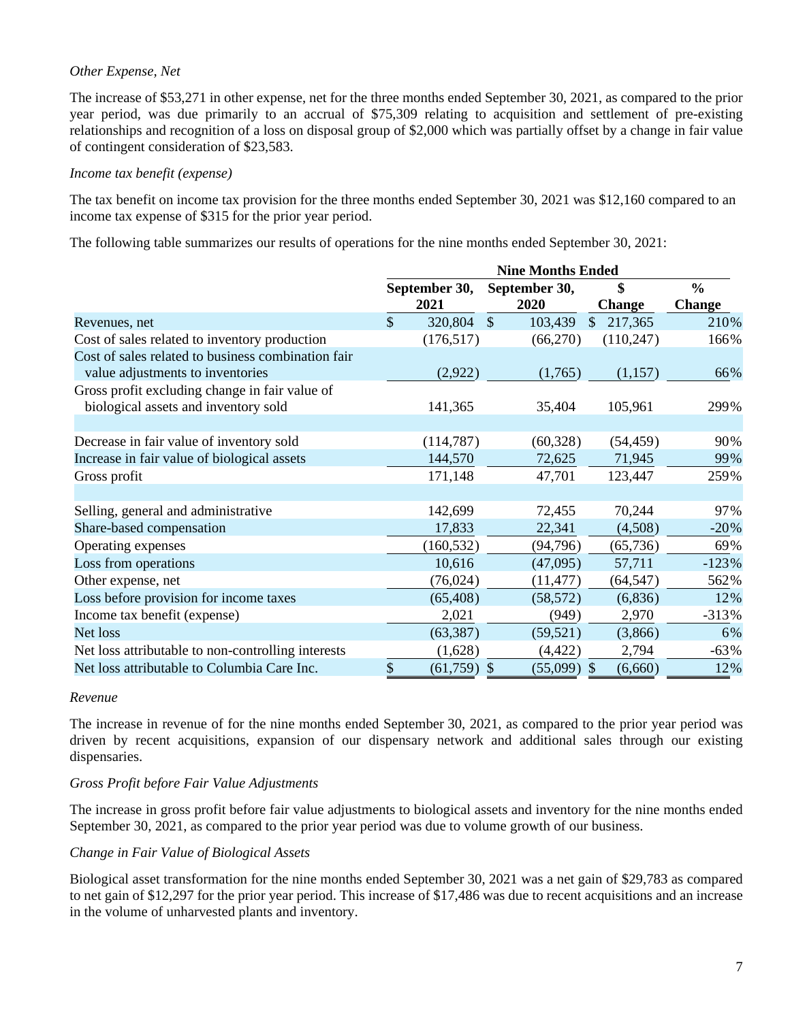# *Other Expense, Net*

The increase of \$53,271 in other expense, net for the three months ended September 30, 2021, as compared to the prior year period, was due primarily to an accrual of \$75,309 relating to acquisition and settlement of pre-existing relationships and recognition of a loss on disposal group of \$2,000 which was partially offset by a change in fair value of contingent consideration of \$23,583.

#### *Income tax benefit (expense)*

The tax benefit on income tax provision for the three months ended September 30, 2021 was \$12,160 compared to an income tax expense of \$315 for the prior year period.

The following table summarizes our results of operations for the nine months ended September 30, 2021:

|                                                    | <b>Nine Months Ended</b> |               |               |               |                         |               |  |  |  |
|----------------------------------------------------|--------------------------|---------------|---------------|---------------|-------------------------|---------------|--|--|--|
|                                                    |                          | September 30, |               | September 30, | \$                      | $\frac{0}{0}$ |  |  |  |
|                                                    |                          | 2021          |               | 2020          | <b>Change</b>           | <b>Change</b> |  |  |  |
| Revenues, net                                      | \$                       | 320,804       | $\mathcal{S}$ | 103,439       | 217,365<br>$\mathbb{S}$ | 210%          |  |  |  |
| Cost of sales related to inventory production      |                          | (176, 517)    |               | (66,270)      | (110, 247)              | 166%          |  |  |  |
| Cost of sales related to business combination fair |                          |               |               |               |                         |               |  |  |  |
| value adjustments to inventories                   |                          | (2,922)       |               | (1,765)       | (1,157)                 | 66%           |  |  |  |
| Gross profit excluding change in fair value of     |                          |               |               |               |                         |               |  |  |  |
| biological assets and inventory sold               |                          | 141,365       |               | 35,404        | 105,961                 | 299%          |  |  |  |
|                                                    |                          |               |               |               |                         |               |  |  |  |
| Decrease in fair value of inventory sold           |                          | (114, 787)    |               | (60, 328)     | (54, 459)               | 90%           |  |  |  |
| Increase in fair value of biological assets        |                          | 144,570       |               | 72,625        | 71,945                  | 99%           |  |  |  |
| Gross profit                                       |                          | 171,148       |               | 47,701        | 123,447                 | 259%          |  |  |  |
|                                                    |                          |               |               |               |                         |               |  |  |  |
| Selling, general and administrative                |                          | 142,699       |               | 72,455        | 70,244                  | 97%           |  |  |  |
| Share-based compensation                           |                          | 17,833        |               | 22,341        | (4,508)                 | $-20%$        |  |  |  |
| Operating expenses                                 |                          | (160, 532)    |               | (94, 796)     | (65, 736)               | 69%           |  |  |  |
| Loss from operations                               |                          | 10,616        |               | (47,095)      | 57,711                  | $-123%$       |  |  |  |
| Other expense, net                                 |                          | (76, 024)     |               | (11, 477)     | (64, 547)               | 562%          |  |  |  |
| Loss before provision for income taxes             |                          | (65, 408)     |               | (58, 572)     | (6,836)                 | 12%           |  |  |  |
| Income tax benefit (expense)                       |                          | 2,021         |               | (949)         | 2,970                   | $-313%$       |  |  |  |
| Net loss                                           |                          | (63, 387)     |               | (59, 521)     | (3,866)                 | 6%            |  |  |  |
| Net loss attributable to non-controlling interests |                          | (1,628)       |               | (4, 422)      | 2,794                   | $-63%$        |  |  |  |
| Net loss attributable to Columbia Care Inc.        | \$                       | $(61,759)$ \$ |               | $(55,099)$ \$ | (6,660)                 | 12%           |  |  |  |

#### *Revenue*

The increase in revenue of for the nine months ended September 30, 2021, as compared to the prior year period was driven by recent acquisitions, expansion of our dispensary network and additional sales through our existing dispensaries.

### *Gross Profit before Fair Value Adjustments*

The increase in gross profit before fair value adjustments to biological assets and inventory for the nine months ended September 30, 2021, as compared to the prior year period was due to volume growth of our business.

### *Change in Fair Value of Biological Assets*

Biological asset transformation for the nine months ended September 30, 2021 was a net gain of \$29,783 as compared to net gain of \$12,297 for the prior year period. This increase of \$17,486 was due to recent acquisitions and an increase in the volume of unharvested plants and inventory.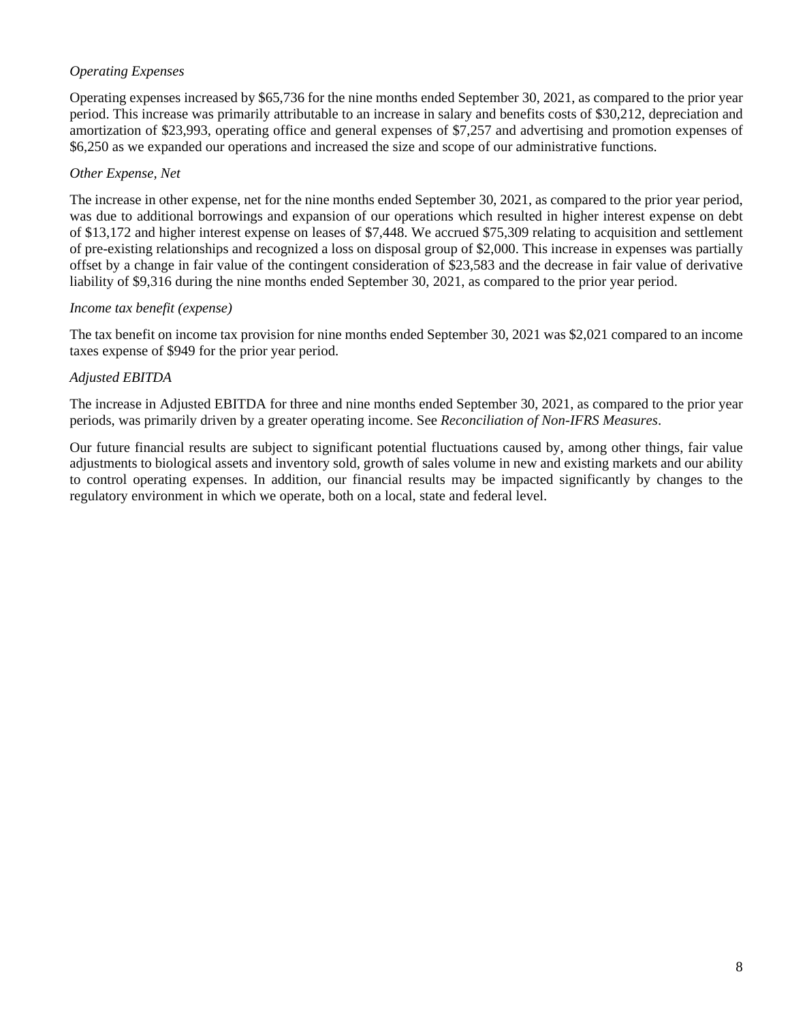# *Operating Expenses*

Operating expenses increased by \$65,736 for the nine months ended September 30, 2021, as compared to the prior year period. This increase was primarily attributable to an increase in salary and benefits costs of \$30,212, depreciation and amortization of \$23,993, operating office and general expenses of \$7,257 and advertising and promotion expenses of \$6,250 as we expanded our operations and increased the size and scope of our administrative functions.

### *Other Expense, Net*

The increase in other expense, net for the nine months ended September 30, 2021, as compared to the prior year period, was due to additional borrowings and expansion of our operations which resulted in higher interest expense on debt of \$13,172 and higher interest expense on leases of \$7,448. We accrued \$75,309 relating to acquisition and settlement of pre-existing relationships and recognized a loss on disposal group of \$2,000. This increase in expenses was partially offset by a change in fair value of the contingent consideration of \$23,583 and the decrease in fair value of derivative liability of \$9,316 during the nine months ended September 30, 2021, as compared to the prior year period.

### *Income tax benefit (expense)*

The tax benefit on income tax provision for nine months ended September 30, 2021 was \$2,021 compared to an income taxes expense of \$949 for the prior year period.

### *Adjusted EBITDA*

The increase in Adjusted EBITDA for three and nine months ended September 30, 2021, as compared to the prior year periods, was primarily driven by a greater operating income. See *Reconciliation of Non-IFRS Measures*.

Our future financial results are subject to significant potential fluctuations caused by, among other things, fair value adjustments to biological assets and inventory sold, growth of sales volume in new and existing markets and our ability to control operating expenses. In addition, our financial results may be impacted significantly by changes to the regulatory environment in which we operate, both on a local, state and federal level.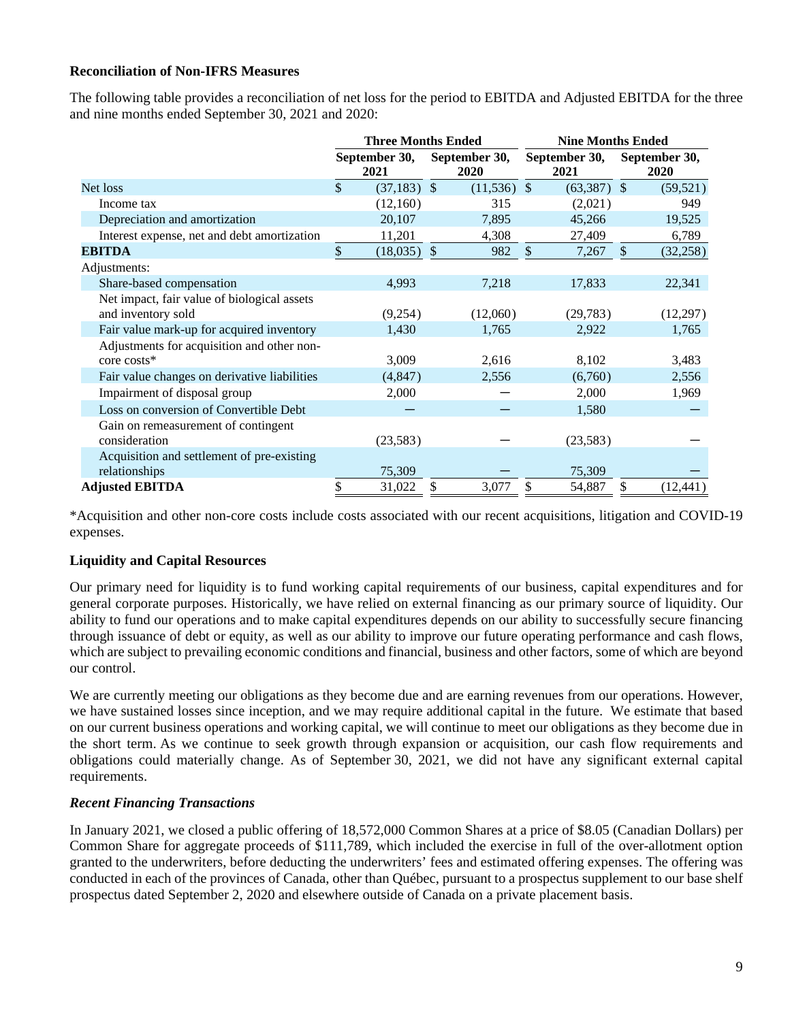# **Reconciliation of Non-IFRS Measures**

The following table provides a reconciliation of net loss for the period to EBITDA and Adjusted EBITDA for the three and nine months ended September 30, 2021 and 2020:

|                                                                   |                       | <b>Three Months Ended</b> |    |                       | <b>Nine Months Ended</b> |                       |                       |           |  |  |
|-------------------------------------------------------------------|-----------------------|---------------------------|----|-----------------------|--------------------------|-----------------------|-----------------------|-----------|--|--|
|                                                                   | September 30,<br>2021 |                           |    | September 30,<br>2020 |                          | September 30,<br>2021 | September 30,<br>2020 |           |  |  |
| Net loss                                                          | \$                    | $(37,183)$ \$             |    | $(11,536)$ \$         |                          | $(63,387)$ \$         |                       | (59, 521) |  |  |
| Income tax                                                        |                       | (12,160)                  |    | 315                   |                          | (2,021)               |                       | 949       |  |  |
| Depreciation and amortization                                     |                       | 20,107                    |    | 7,895                 |                          | 45,266                |                       | 19,525    |  |  |
| Interest expense, net and debt amortization                       |                       | 11,201                    |    | 4,308                 |                          | 27,409                |                       | 6,789     |  |  |
| <b>EBITDA</b>                                                     | \$                    | $(18,035)$ \$             |    | 982                   | $\mathcal{S}$            | 7,267                 | $\mathbb{S}$          | (32, 258) |  |  |
| Adjustments:                                                      |                       |                           |    |                       |                          |                       |                       |           |  |  |
| Share-based compensation                                          |                       | 4,993                     |    | 7,218                 |                          | 17,833                |                       | 22,341    |  |  |
| Net impact, fair value of biological assets<br>and inventory sold |                       | (9,254)                   |    | (12,060)              |                          | (29, 783)             |                       | (12,297)  |  |  |
| Fair value mark-up for acquired inventory                         |                       | 1,430                     |    | 1,765                 |                          | 2,922                 |                       | 1,765     |  |  |
| Adjustments for acquisition and other non-<br>core costs*         |                       | 3,009                     |    | 2,616                 |                          | 8,102                 |                       | 3,483     |  |  |
| Fair value changes on derivative liabilities                      |                       | (4,847)                   |    | 2,556                 |                          | (6,760)               |                       | 2,556     |  |  |
| Impairment of disposal group                                      |                       | 2,000                     |    |                       |                          | 2,000                 |                       | 1,969     |  |  |
| Loss on conversion of Convertible Debt                            |                       |                           |    |                       |                          | 1,580                 |                       |           |  |  |
| Gain on remeasurement of contingent<br>consideration              |                       | (23,583)                  |    |                       |                          | (23,583)              |                       |           |  |  |
| Acquisition and settlement of pre-existing<br>relationships       |                       | 75,309                    |    |                       |                          | 75,309                |                       |           |  |  |
| <b>Adjusted EBITDA</b>                                            | \$                    | 31,022                    | \$ | 3,077                 | \$                       | 54,887                | \$                    | (12, 441) |  |  |

\*Acquisition and other non-core costs include costs associated with our recent acquisitions, litigation and COVID-19 expenses.

# **Liquidity and Capital Resources**

Our primary need for liquidity is to fund working capital requirements of our business, capital expenditures and for general corporate purposes. Historically, we have relied on external financing as our primary source of liquidity. Our ability to fund our operations and to make capital expenditures depends on our ability to successfully secure financing through issuance of debt or equity, as well as our ability to improve our future operating performance and cash flows, which are subject to prevailing economic conditions and financial, business and other factors, some of which are beyond our control.

We are currently meeting our obligations as they become due and are earning revenues from our operations. However, we have sustained losses since inception, and we may require additional capital in the future. We estimate that based on our current business operations and working capital, we will continue to meet our obligations as they become due in the short term. As we continue to seek growth through expansion or acquisition, our cash flow requirements and obligations could materially change. As of September 30, 2021, we did not have any significant external capital requirements.

# *Recent Financing Transactions*

In January 2021, we closed a public offering of 18,572,000 Common Shares at a price of \$8.05 (Canadian Dollars) per Common Share for aggregate proceeds of \$111,789, which included the exercise in full of the over-allotment option granted to the underwriters, before deducting the underwriters' fees and estimated offering expenses. The offering was conducted in each of the provinces of Canada, other than Québec, pursuant to a prospectus supplement to our base shelf prospectus dated September 2, 2020 and elsewhere outside of Canada on a private placement basis.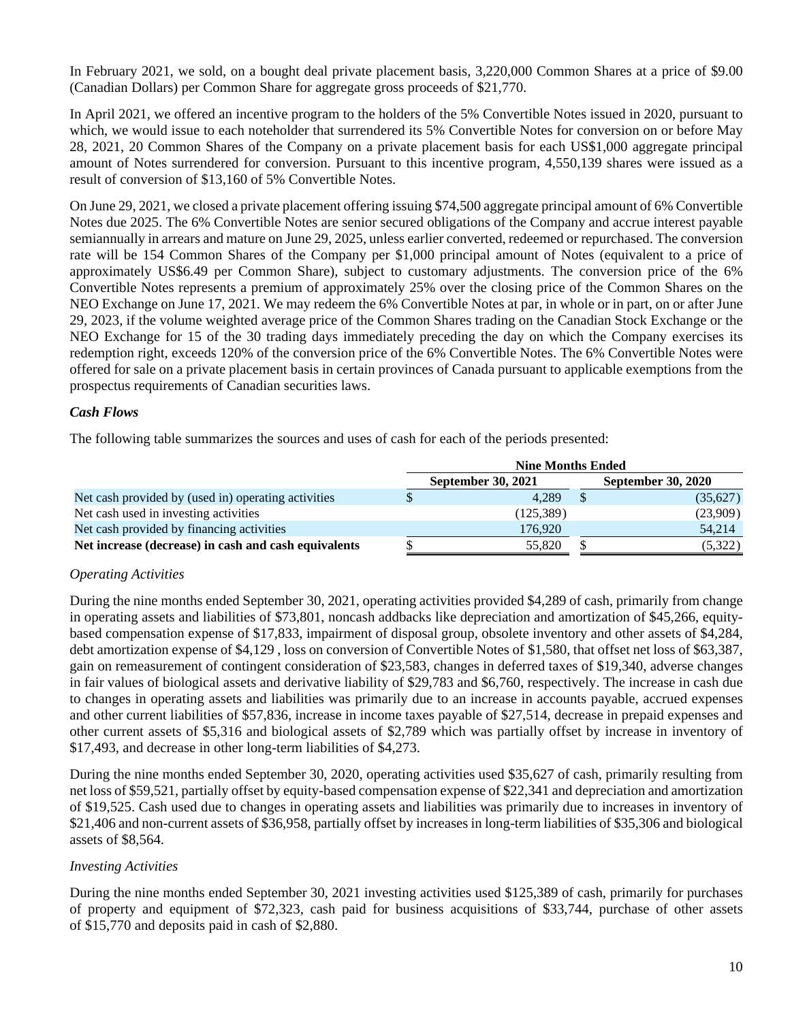In February 2021, we sold, on a bought deal private placement basis, 3,220,000 Common Shares at a price of \$9.00 (Canadian Dollars) per Common Share for aggregate gross proceeds of \$21,770.

In April 2021, we offered an incentive program to the holders of the 5% Convertible Notes issued in 2020, pursuant to which, we would issue to each noteholder that surrendered its 5% Convertible Notes for conversion on or before May 28, 2021, 20 Common Shares of the Company on a private placement basis for each US\$1,000 aggregate principal amount of Notes surrendered for conversion. Pursuant to this incentive program, 4,550,139 shares were issued as a result of conversion of \$13,160 of 5% Convertible Notes.

On June 29, 2021, we closed a private placement offering issuing \$74,500 aggregate principal amount of 6% Convertible Notes due 2025. The 6% Convertible Notes are senior secured obligations of the Company and accrue interest payable semiannually in arrears and mature on June 29, 2025, unless earlier converted, redeemed or repurchased. The conversion rate will be 154 Common Shares of the Company per \$1,000 principal amount of Notes (equivalent to a price of approximately US\$6.49 per Common Share), subject to customary adjustments. The conversion price of the 6% Convertible Notes represents a premium of approximately 25% over the closing price of the Common Shares on the NEO Exchange on June 17, 2021. We may redeem the 6% Convertible Notes at par, in whole or in part, on or after June 29, 2023, if the volume weighted average price of the Common Shares trading on the Canadian Stock Exchange or the NEO Exchange for 15 of the 30 trading days immediately preceding the day on which the Company exercises its redemption right, exceeds 120% of the conversion price of the 6% Convertible Notes. The 6% Convertible Notes were offered for sale on a private placement basis in certain provinces of Canada pursuant to applicable exemptions from the prospectus requirements of Canadian securities laws.

## *Cash Flows*

The following table summarizes the sources and uses of cash for each of the periods presented:

|                                                      | <b>Nine Months Ended</b>  |  |                           |  |  |  |  |
|------------------------------------------------------|---------------------------|--|---------------------------|--|--|--|--|
|                                                      | <b>September 30, 2021</b> |  | <b>September 30, 2020</b> |  |  |  |  |
| Net cash provided by (used in) operating activities  | 4.289                     |  | (35,627)                  |  |  |  |  |
| Net cash used in investing activities                | (125, 389)                |  | (23,909)                  |  |  |  |  |
| Net cash provided by financing activities            | 176.920                   |  | 54,214                    |  |  |  |  |
| Net increase (decrease) in cash and cash equivalents | 55,820                    |  | (5,322)                   |  |  |  |  |

### *Operating Activities*

During the nine months ended September 30, 2021, operating activities provided \$4,289 of cash, primarily from change in operating assets and liabilities of \$73,801, noncash addbacks like depreciation and amortization of \$45,266, equitybased compensation expense of \$17,833, impairment of disposal group, obsolete inventory and other assets of \$4,284, debt amortization expense of \$4,129 , loss on conversion of Convertible Notes of \$1,580, that offset net loss of \$63,387, gain on remeasurement of contingent consideration of \$23,583, changes in deferred taxes of \$19,340, adverse changes in fair values of biological assets and derivative liability of \$29,783 and \$6,760, respectively. The increase in cash due to changes in operating assets and liabilities was primarily due to an increase in accounts payable, accrued expenses and other current liabilities of \$57,836, increase in income taxes payable of \$27,514, decrease in prepaid expenses and other current assets of \$5,316 and biological assets of \$2,789 which was partially offset by increase in inventory of \$17,493, and decrease in other long-term liabilities of \$4,273.

During the nine months ended September 30, 2020, operating activities used \$35,627 of cash, primarily resulting from net loss of \$59,521, partially offset by equity-based compensation expense of \$22,341 and depreciation and amortization of \$19,525. Cash used due to changes in operating assets and liabilities was primarily due to increases in inventory of \$21,406 and non-current assets of \$36,958, partially offset by increases in long-term liabilities of \$35,306 and biological assets of \$8,564.

### *Investing Activities*

During the nine months ended September 30, 2021 investing activities used \$125,389 of cash, primarily for purchases of property and equipment of \$72,323, cash paid for business acquisitions of \$33,744, purchase of other assets of \$15,770 and deposits paid in cash of \$2,880.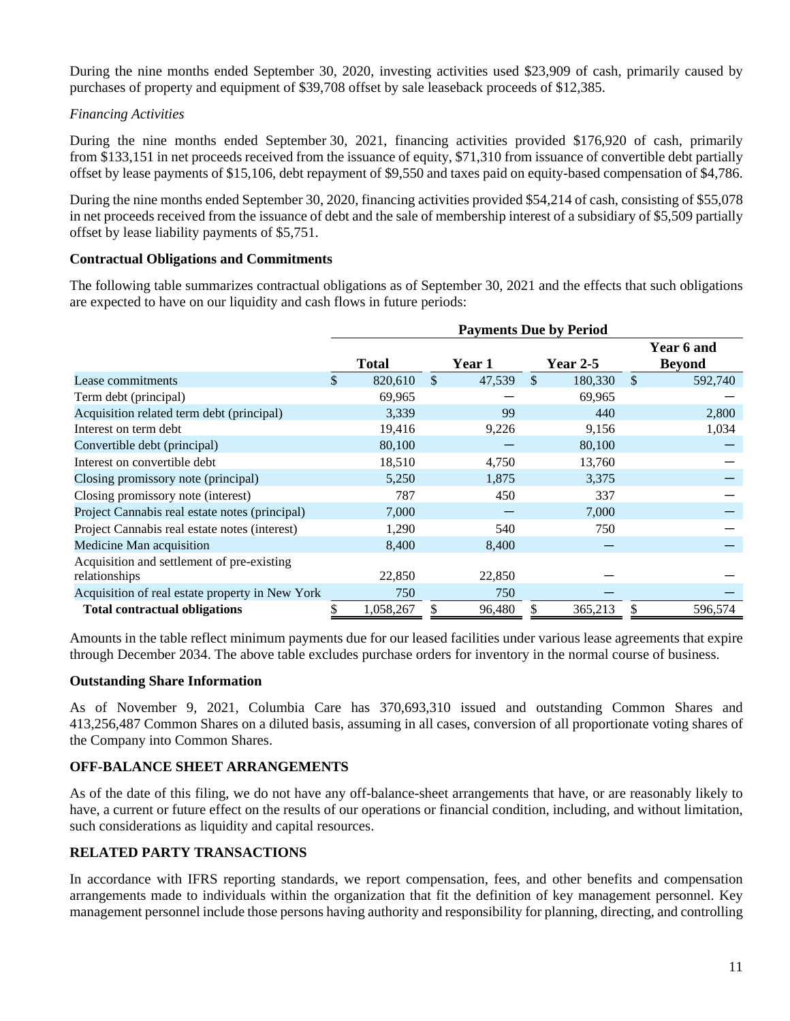During the nine months ended September 30, 2020, investing activities used \$23,909 of cash, primarily caused by purchases of property and equipment of \$39,708 offset by sale leaseback proceeds of \$12,385.

# *Financing Activities*

During the nine months ended September 30, 2021, financing activities provided \$176,920 of cash, primarily from \$133,151 in net proceeds received from the issuance of equity, \$71,310 from issuance of convertible debt partially offset by lease payments of \$15,106, debt repayment of \$9,550 and taxes paid on equity-based compensation of \$4,786.

During the nine months ended September 30, 2020, financing activities provided \$54,214 of cash, consisting of \$55,078 in net proceeds received from the issuance of debt and the sale of membership interest of a subsidiary of \$5,509 partially offset by lease liability payments of \$5,751.

### **Contractual Obligations and Commitments**

The following table summarizes contractual obligations as of September 30, 2021 and the effects that such obligations are expected to have on our liquidity and cash flows in future periods:

|                                                 | <b>Payments Due by Period</b> |              |               |        |               |                 |          |                             |  |
|-------------------------------------------------|-------------------------------|--------------|---------------|--------|---------------|-----------------|----------|-----------------------------|--|
|                                                 |                               | <b>Total</b> |               | Year 1 |               | <b>Year 2-5</b> |          | Year 6 and<br><b>Beyond</b> |  |
| Lease commitments                               | \$                            | 820,610      | <sup>\$</sup> | 47,539 | <sup>\$</sup> | 180,330         | <b>S</b> | 592,740                     |  |
| Term debt (principal)                           |                               | 69,965       |               |        |               | 69,965          |          |                             |  |
| Acquisition related term debt (principal)       |                               | 3,339        |               | 99     |               | 440             |          | 2,800                       |  |
| Interest on term debt                           |                               | 19,416       |               | 9,226  |               | 9,156           |          | 1,034                       |  |
| Convertible debt (principal)                    |                               | 80,100       |               |        |               | 80,100          |          |                             |  |
| Interest on convertible debt                    |                               | 18,510       |               | 4,750  |               | 13,760          |          |                             |  |
| Closing promissory note (principal)             |                               | 5,250        |               | 1,875  |               | 3,375           |          |                             |  |
| Closing promissory note (interest)              |                               | 787          |               | 450    |               | 337             |          |                             |  |
| Project Cannabis real estate notes (principal)  |                               | 7,000        |               |        |               | 7,000           |          |                             |  |
| Project Cannabis real estate notes (interest)   |                               | 1,290        |               | 540    |               | 750             |          |                             |  |
| Medicine Man acquisition                        |                               | 8,400        |               | 8,400  |               |                 |          |                             |  |
| Acquisition and settlement of pre-existing      |                               |              |               |        |               |                 |          |                             |  |
| relationships                                   |                               | 22,850       |               | 22,850 |               |                 |          |                             |  |
| Acquisition of real estate property in New York |                               | 750          |               | 750    |               |                 |          |                             |  |
| <b>Total contractual obligations</b>            |                               | 1,058,267    |               | 96,480 |               | 365,213         |          | 596,574                     |  |

Amounts in the table reflect minimum payments due for our leased facilities under various lease agreements that expire through December 2034. The above table excludes purchase orders for inventory in the normal course of business.

### **Outstanding Share Information**

As of November 9, 2021, Columbia Care has 370,693,310 issued and outstanding Common Shares and 413,256,487 Common Shares on a diluted basis, assuming in all cases, conversion of all proportionate voting shares of the Company into Common Shares.

# **OFF-BALANCE SHEET ARRANGEMENTS**

As of the date of this filing, we do not have any off-balance-sheet arrangements that have, or are reasonably likely to have, a current or future effect on the results of our operations or financial condition, including, and without limitation, such considerations as liquidity and capital resources.

### **RELATED PARTY TRANSACTIONS**

In accordance with IFRS reporting standards, we report compensation, fees, and other benefits and compensation arrangements made to individuals within the organization that fit the definition of key management personnel. Key management personnel include those persons having authority and responsibility for planning, directing, and controlling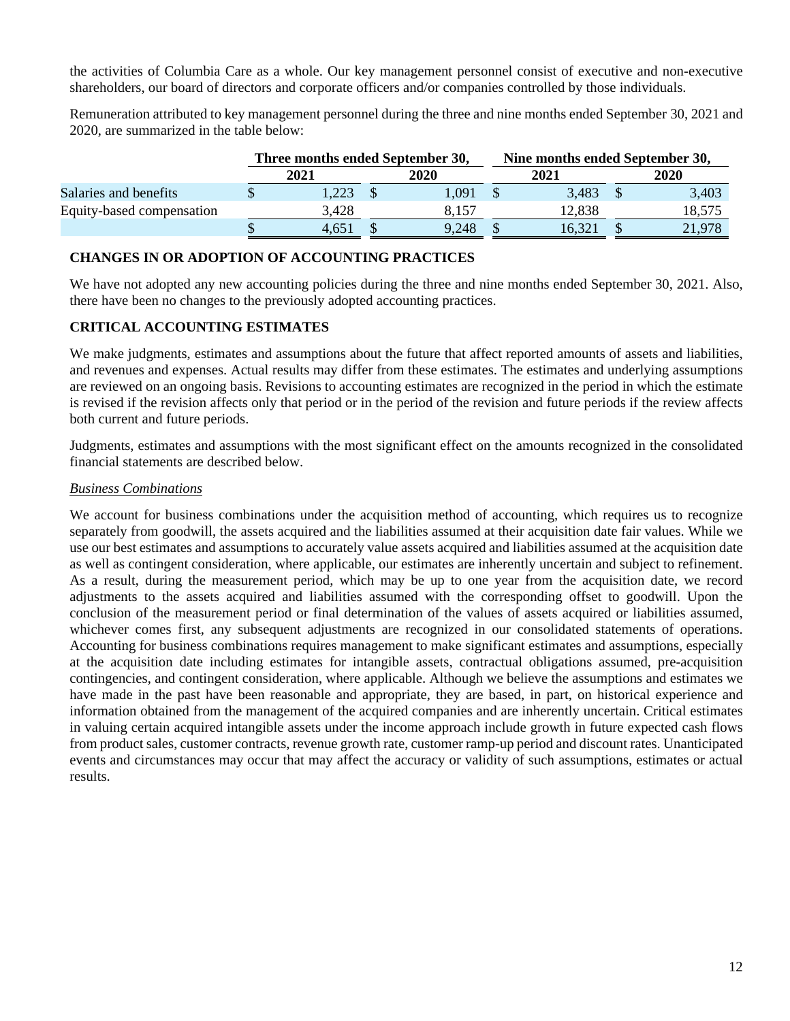the activities of Columbia Care as a whole. Our key management personnel consist of executive and non-executive shareholders, our board of directors and corporate officers and/or companies controlled by those individuals.

Remuneration attributed to key management personnel during the three and nine months ended September 30, 2021 and 2020, are summarized in the table below:

|                           | Three months ended September 30, |             | Nine months ended September 30, |        |  |        |  |  |  |
|---------------------------|----------------------------------|-------------|---------------------------------|--------|--|--------|--|--|--|
|                           | 2021                             | <b>2020</b> |                                 | 2021   |  | 2020   |  |  |  |
| Salaries and benefits     | .223                             | 1.091       |                                 | 3,483  |  | 3,403  |  |  |  |
| Equity-based compensation | 3,428                            | 8.157       |                                 | 12.838 |  | 18.575 |  |  |  |
|                           | 4.651                            | 9,248       |                                 | 16.321 |  | 21,978 |  |  |  |

## **CHANGES IN OR ADOPTION OF ACCOUNTING PRACTICES**

We have not adopted any new accounting policies during the three and nine months ended September 30, 2021. Also, there have been no changes to the previously adopted accounting practices.

## **CRITICAL ACCOUNTING ESTIMATES**

We make judgments, estimates and assumptions about the future that affect reported amounts of assets and liabilities, and revenues and expenses. Actual results may differ from these estimates. The estimates and underlying assumptions are reviewed on an ongoing basis. Revisions to accounting estimates are recognized in the period in which the estimate is revised if the revision affects only that period or in the period of the revision and future periods if the review affects both current and future periods.

Judgments, estimates and assumptions with the most significant effect on the amounts recognized in the consolidated financial statements are described below.

### *Business Combinations*

We account for business combinations under the acquisition method of accounting, which requires us to recognize separately from goodwill, the assets acquired and the liabilities assumed at their acquisition date fair values. While we use our best estimates and assumptions to accurately value assets acquired and liabilities assumed at the acquisition date as well as contingent consideration, where applicable, our estimates are inherently uncertain and subject to refinement. As a result, during the measurement period, which may be up to one year from the acquisition date, we record adjustments to the assets acquired and liabilities assumed with the corresponding offset to goodwill. Upon the conclusion of the measurement period or final determination of the values of assets acquired or liabilities assumed, whichever comes first, any subsequent adjustments are recognized in our consolidated statements of operations. Accounting for business combinations requires management to make significant estimates and assumptions, especially at the acquisition date including estimates for intangible assets, contractual obligations assumed, pre-acquisition contingencies, and contingent consideration, where applicable. Although we believe the assumptions and estimates we have made in the past have been reasonable and appropriate, they are based, in part, on historical experience and information obtained from the management of the acquired companies and are inherently uncertain. Critical estimates in valuing certain acquired intangible assets under the income approach include growth in future expected cash flows from product sales, customer contracts, revenue growth rate, customer ramp-up period and discount rates. Unanticipated events and circumstances may occur that may affect the accuracy or validity of such assumptions, estimates or actual results.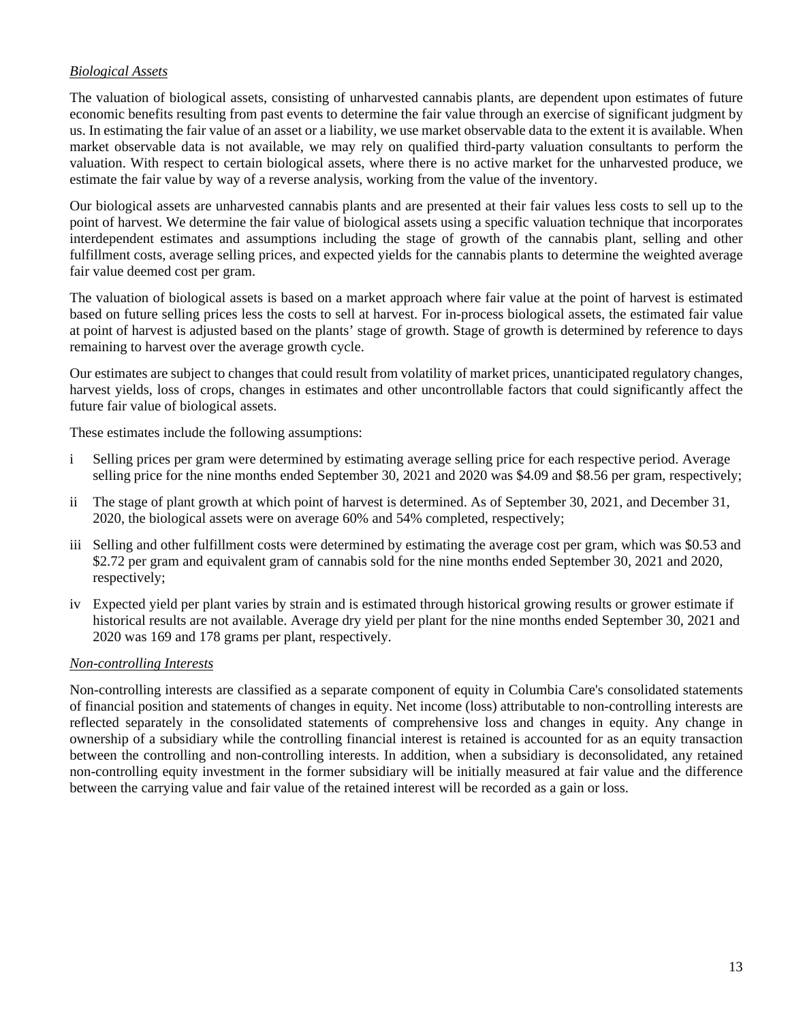# *Biological Assets*

The valuation of biological assets, consisting of unharvested cannabis plants, are dependent upon estimates of future economic benefits resulting from past events to determine the fair value through an exercise of significant judgment by us. In estimating the fair value of an asset or a liability, we use market observable data to the extent it is available. When market observable data is not available, we may rely on qualified third-party valuation consultants to perform the valuation. With respect to certain biological assets, where there is no active market for the unharvested produce, we estimate the fair value by way of a reverse analysis, working from the value of the inventory.

Our biological assets are unharvested cannabis plants and are presented at their fair values less costs to sell up to the point of harvest. We determine the fair value of biological assets using a specific valuation technique that incorporates interdependent estimates and assumptions including the stage of growth of the cannabis plant, selling and other fulfillment costs, average selling prices, and expected yields for the cannabis plants to determine the weighted average fair value deemed cost per gram.

The valuation of biological assets is based on a market approach where fair value at the point of harvest is estimated based on future selling prices less the costs to sell at harvest. For in-process biological assets, the estimated fair value at point of harvest is adjusted based on the plants' stage of growth. Stage of growth is determined by reference to days remaining to harvest over the average growth cycle.

Our estimates are subject to changes that could result from volatility of market prices, unanticipated regulatory changes, harvest yields, loss of crops, changes in estimates and other uncontrollable factors that could significantly affect the future fair value of biological assets.

These estimates include the following assumptions:

- i Selling prices per gram were determined by estimating average selling price for each respective period. Average selling price for the nine months ended September 30, 2021 and 2020 was \$4.09 and \$8.56 per gram, respectively;
- ii The stage of plant growth at which point of harvest is determined. As of September 30, 2021, and December 31, 2020, the biological assets were on average 60% and 54% completed, respectively;
- iii Selling and other fulfillment costs were determined by estimating the average cost per gram, which was \$0.53 and \$2.72 per gram and equivalent gram of cannabis sold for the nine months ended September 30, 2021 and 2020, respectively;
- iv Expected yield per plant varies by strain and is estimated through historical growing results or grower estimate if historical results are not available. Average dry yield per plant for the nine months ended September 30, 2021 and 2020 was 169 and 178 grams per plant, respectively.

### *Non-controlling Interests*

Non-controlling interests are classified as a separate component of equity in Columbia Care's consolidated statements of financial position and statements of changes in equity. Net income (loss) attributable to non-controlling interests are reflected separately in the consolidated statements of comprehensive loss and changes in equity. Any change in ownership of a subsidiary while the controlling financial interest is retained is accounted for as an equity transaction between the controlling and non-controlling interests. In addition, when a subsidiary is deconsolidated, any retained non-controlling equity investment in the former subsidiary will be initially measured at fair value and the difference between the carrying value and fair value of the retained interest will be recorded as a gain or loss.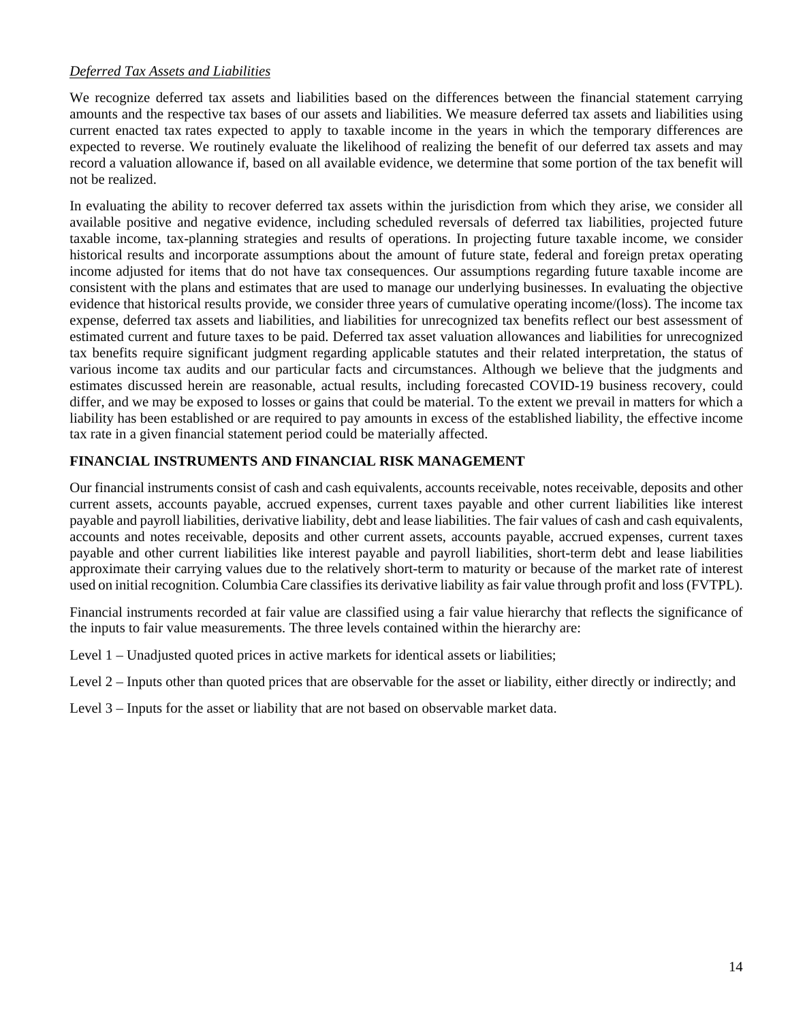# *Deferred Tax Assets and Liabilities*

We recognize deferred tax assets and liabilities based on the differences between the financial statement carrying amounts and the respective tax bases of our assets and liabilities. We measure deferred tax assets and liabilities using current enacted tax rates expected to apply to taxable income in the years in which the temporary differences are expected to reverse. We routinely evaluate the likelihood of realizing the benefit of our deferred tax assets and may record a valuation allowance if, based on all available evidence, we determine that some portion of the tax benefit will not be realized.

In evaluating the ability to recover deferred tax assets within the jurisdiction from which they arise, we consider all available positive and negative evidence, including scheduled reversals of deferred tax liabilities, projected future taxable income, tax-planning strategies and results of operations. In projecting future taxable income, we consider historical results and incorporate assumptions about the amount of future state, federal and foreign pretax operating income adjusted for items that do not have tax consequences. Our assumptions regarding future taxable income are consistent with the plans and estimates that are used to manage our underlying businesses. In evaluating the objective evidence that historical results provide, we consider three years of cumulative operating income/(loss). The income tax expense, deferred tax assets and liabilities, and liabilities for unrecognized tax benefits reflect our best assessment of estimated current and future taxes to be paid. Deferred tax asset valuation allowances and liabilities for unrecognized tax benefits require significant judgment regarding applicable statutes and their related interpretation, the status of various income tax audits and our particular facts and circumstances. Although we believe that the judgments and estimates discussed herein are reasonable, actual results, including forecasted COVID-19 business recovery, could differ, and we may be exposed to losses or gains that could be material. To the extent we prevail in matters for which a liability has been established or are required to pay amounts in excess of the established liability, the effective income tax rate in a given financial statement period could be materially affected.

# **FINANCIAL INSTRUMENTS AND FINANCIAL RISK MANAGEMENT**

Our financial instruments consist of cash and cash equivalents, accounts receivable, notes receivable, deposits and other current assets, accounts payable, accrued expenses, current taxes payable and other current liabilities like interest payable and payroll liabilities, derivative liability, debt and lease liabilities. The fair values of cash and cash equivalents, accounts and notes receivable, deposits and other current assets, accounts payable, accrued expenses, current taxes payable and other current liabilities like interest payable and payroll liabilities, short-term debt and lease liabilities approximate their carrying values due to the relatively short-term to maturity or because of the market rate of interest used on initial recognition. Columbia Care classifies its derivative liability as fair value through profit and loss (FVTPL).

Financial instruments recorded at fair value are classified using a fair value hierarchy that reflects the significance of the inputs to fair value measurements. The three levels contained within the hierarchy are:

Level 1 – Unadjusted quoted prices in active markets for identical assets or liabilities;

Level 2 – Inputs other than quoted prices that are observable for the asset or liability, either directly or indirectly; and

Level 3 – Inputs for the asset or liability that are not based on observable market data.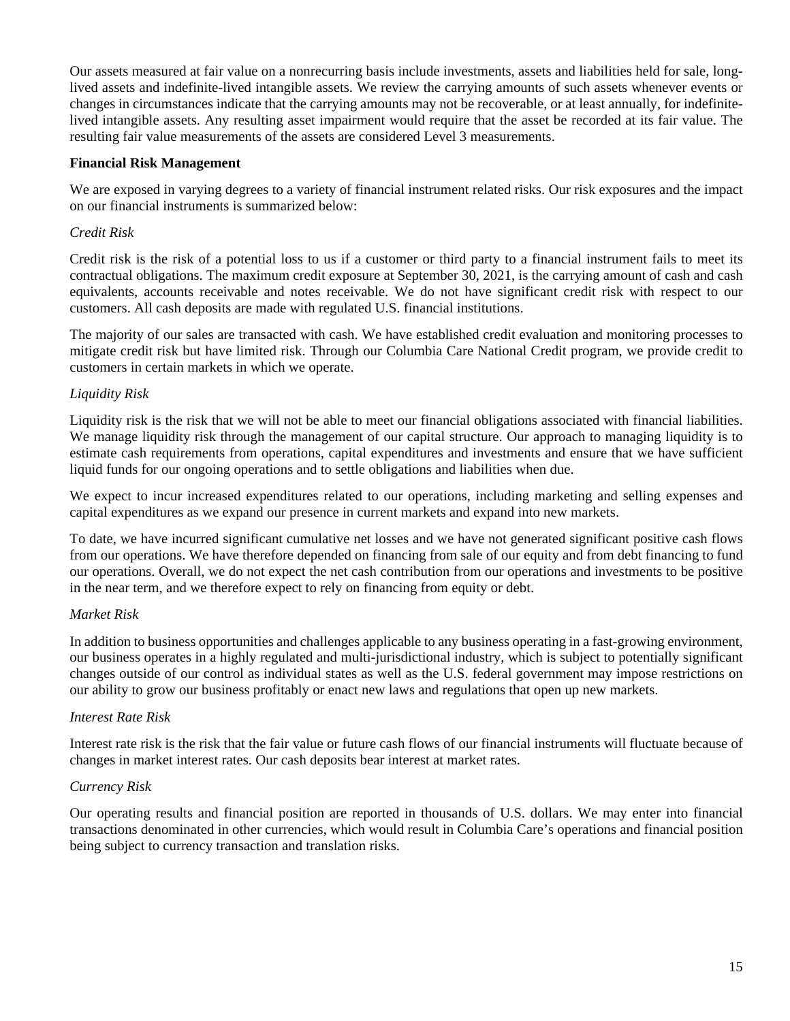Our assets measured at fair value on a nonrecurring basis include investments, assets and liabilities held for sale, longlived assets and indefinite-lived intangible assets. We review the carrying amounts of such assets whenever events or changes in circumstances indicate that the carrying amounts may not be recoverable, or at least annually, for indefinitelived intangible assets. Any resulting asset impairment would require that the asset be recorded at its fair value. The resulting fair value measurements of the assets are considered Level 3 measurements.

# **Financial Risk Management**

We are exposed in varying degrees to a variety of financial instrument related risks. Our risk exposures and the impact on our financial instruments is summarized below:

# *Credit Risk*

Credit risk is the risk of a potential loss to us if a customer or third party to a financial instrument fails to meet its contractual obligations. The maximum credit exposure at September 30, 2021, is the carrying amount of cash and cash equivalents, accounts receivable and notes receivable. We do not have significant credit risk with respect to our customers. All cash deposits are made with regulated U.S. financial institutions.

The majority of our sales are transacted with cash. We have established credit evaluation and monitoring processes to mitigate credit risk but have limited risk. Through our Columbia Care National Credit program, we provide credit to customers in certain markets in which we operate.

## *Liquidity Risk*

Liquidity risk is the risk that we will not be able to meet our financial obligations associated with financial liabilities. We manage liquidity risk through the management of our capital structure. Our approach to managing liquidity is to estimate cash requirements from operations, capital expenditures and investments and ensure that we have sufficient liquid funds for our ongoing operations and to settle obligations and liabilities when due.

We expect to incur increased expenditures related to our operations, including marketing and selling expenses and capital expenditures as we expand our presence in current markets and expand into new markets.

To date, we have incurred significant cumulative net losses and we have not generated significant positive cash flows from our operations. We have therefore depended on financing from sale of our equity and from debt financing to fund our operations. Overall, we do not expect the net cash contribution from our operations and investments to be positive in the near term, and we therefore expect to rely on financing from equity or debt.

### *Market Risk*

In addition to business opportunities and challenges applicable to any business operating in a fast-growing environment, our business operates in a highly regulated and multi-jurisdictional industry, which is subject to potentially significant changes outside of our control as individual states as well as the U.S. federal government may impose restrictions on our ability to grow our business profitably or enact new laws and regulations that open up new markets.

### *Interest Rate Risk*

Interest rate risk is the risk that the fair value or future cash flows of our financial instruments will fluctuate because of changes in market interest rates. Our cash deposits bear interest at market rates.

### *Currency Risk*

Our operating results and financial position are reported in thousands of U.S. dollars. We may enter into financial transactions denominated in other currencies, which would result in Columbia Care's operations and financial position being subject to currency transaction and translation risks.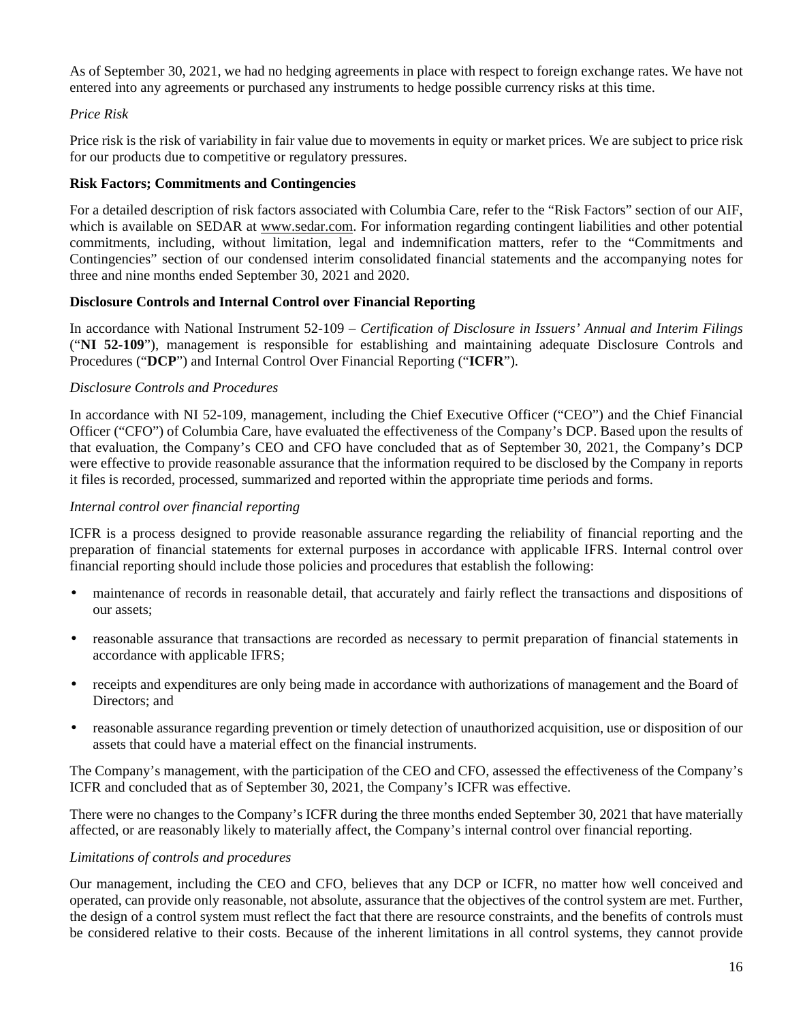As of September 30, 2021, we had no hedging agreements in place with respect to foreign exchange rates. We have not entered into any agreements or purchased any instruments to hedge possible currency risks at this time.

# *Price Risk*

Price risk is the risk of variability in fair value due to movements in equity or market prices. We are subject to price risk for our products due to competitive or regulatory pressures.

### **Risk Factors; Commitments and Contingencies**

For a detailed description of risk factors associated with Columbia Care, refer to the "Risk Factors" section of our AIF, which is available on SEDAR at www.sedar.com. For information regarding contingent liabilities and other potential commitments, including, without limitation, legal and indemnification matters, refer to the "Commitments and Contingencies" section of our condensed interim consolidated financial statements and the accompanying notes for three and nine months ended September 30, 2021 and 2020.

### **Disclosure Controls and Internal Control over Financial Reporting**

In accordance with National Instrument 52-109 – *Certification of Disclosure in Issuers' Annual and Interim Filings*  ("**NI 52-109**"), management is responsible for establishing and maintaining adequate Disclosure Controls and Procedures ("**DCP**") and Internal Control Over Financial Reporting ("**ICFR**").

### *Disclosure Controls and Procedures*

In accordance with NI 52-109, management, including the Chief Executive Officer ("CEO") and the Chief Financial Officer ("CFO") of Columbia Care, have evaluated the effectiveness of the Company's DCP. Based upon the results of that evaluation, the Company's CEO and CFO have concluded that as of September 30, 2021, the Company's DCP were effective to provide reasonable assurance that the information required to be disclosed by the Company in reports it files is recorded, processed, summarized and reported within the appropriate time periods and forms.

### *Internal control over financial reporting*

ICFR is a process designed to provide reasonable assurance regarding the reliability of financial reporting and the preparation of financial statements for external purposes in accordance with applicable IFRS. Internal control over financial reporting should include those policies and procedures that establish the following:

- maintenance of records in reasonable detail, that accurately and fairly reflect the transactions and dispositions of our assets;
- reasonable assurance that transactions are recorded as necessary to permit preparation of financial statements in accordance with applicable IFRS;
- receipts and expenditures are only being made in accordance with authorizations of management and the Board of Directors; and
- reasonable assurance regarding prevention or timely detection of unauthorized acquisition, use or disposition of our assets that could have a material effect on the financial instruments.

The Company's management, with the participation of the CEO and CFO, assessed the effectiveness of the Company's ICFR and concluded that as of September 30, 2021, the Company's ICFR was effective.

There were no changes to the Company's ICFR during the three months ended September 30, 2021 that have materially affected, or are reasonably likely to materially affect, the Company's internal control over financial reporting.

### *Limitations of controls and procedures*

Our management, including the CEO and CFO, believes that any DCP or ICFR, no matter how well conceived and operated, can provide only reasonable, not absolute, assurance that the objectives of the control system are met. Further, the design of a control system must reflect the fact that there are resource constraints, and the benefits of controls must be considered relative to their costs. Because of the inherent limitations in all control systems, they cannot provide